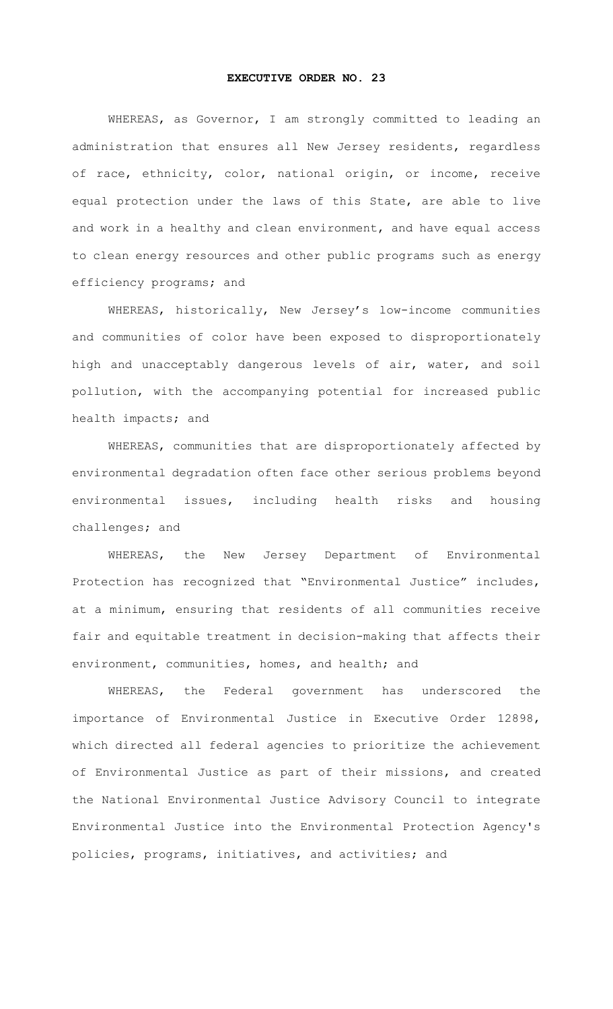## **EXECUTIVE ORDER NO. 23**

WHEREAS, as Governor, I am strongly committed to leading an administration that ensures all New Jersey residents, regardless of race, ethnicity, color, national origin, or income, receive equal protection under the laws of this State, are able to live and work in a healthy and clean environment, and have equal access to clean energy resources and other public programs such as energy efficiency programs; and

WHEREAS, historically, New Jersey's low-income communities and communities of color have been exposed to disproportionately high and unacceptably dangerous levels of air, water, and soil pollution, with the accompanying potential for increased public health impacts; and

WHEREAS, communities that are disproportionately affected by environmental degradation often face other serious problems beyond environmental issues, including health risks and housing challenges; and

WHEREAS, the New Jersey Department of Environmental Protection has recognized that "Environmental Justice" includes, at a minimum, ensuring that residents of all communities receive fair and equitable treatment in decision-making that affects their environment, communities, homes, and health; and

WHEREAS, the Federal government has underscored the importance of Environmental Justice in Executive Order 12898, which directed all federal agencies to prioritize the achievement of Environmental Justice as part of their missions, and created the National Environmental Justice Advisory Council to integrate Environmental Justice into the Environmental Protection Agency's policies, programs, initiatives, and activities; and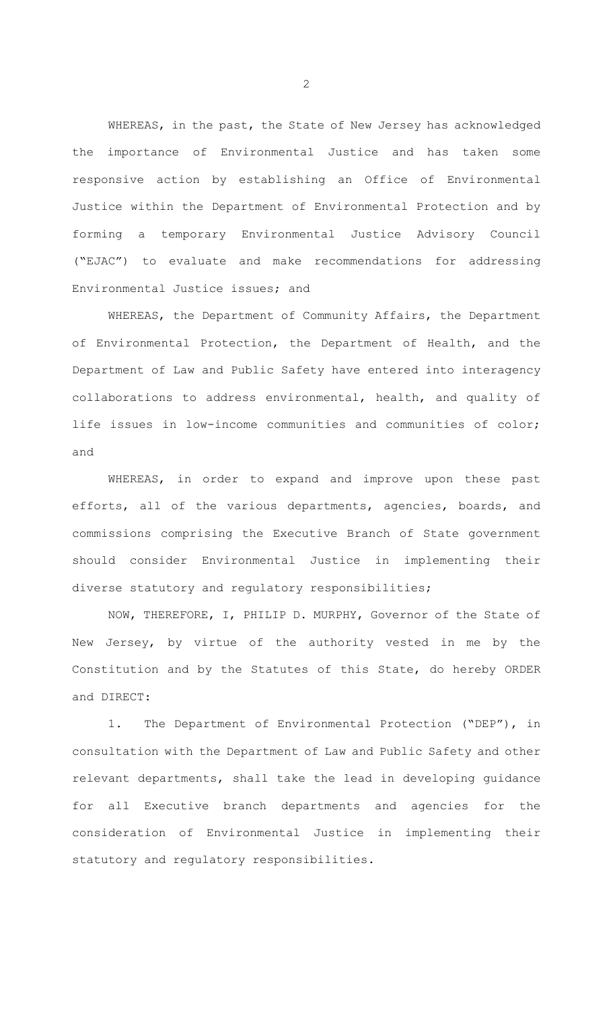WHEREAS, in the past, the State of New Jersey has acknowledged the importance of Environmental Justice and has taken some responsive action by establishing an Office of Environmental Justice within the Department of Environmental Protection and by forming a temporary Environmental Justice Advisory Council ("EJAC") to evaluate and make recommendations for addressing Environmental Justice issues; and

WHEREAS, the Department of Community Affairs, the Department of Environmental Protection, the Department of Health, and the Department of Law and Public Safety have entered into interagency collaborations to address environmental, health, and quality of life issues in low-income communities and communities of color; and

WHEREAS, in order to expand and improve upon these past efforts, all of the various departments, agencies, boards, and commissions comprising the Executive Branch of State government should consider Environmental Justice in implementing their diverse statutory and regulatory responsibilities;

NOW, THEREFORE, I, PHILIP D. MURPHY, Governor of the State of New Jersey, by virtue of the authority vested in me by the Constitution and by the Statutes of this State, do hereby ORDER and DIRECT:

1. The Department of Environmental Protection ("DEP"), in consultation with the Department of Law and Public Safety and other relevant departments, shall take the lead in developing guidance for all Executive branch departments and agencies for the consideration of Environmental Justice in implementing their statutory and regulatory responsibilities.

2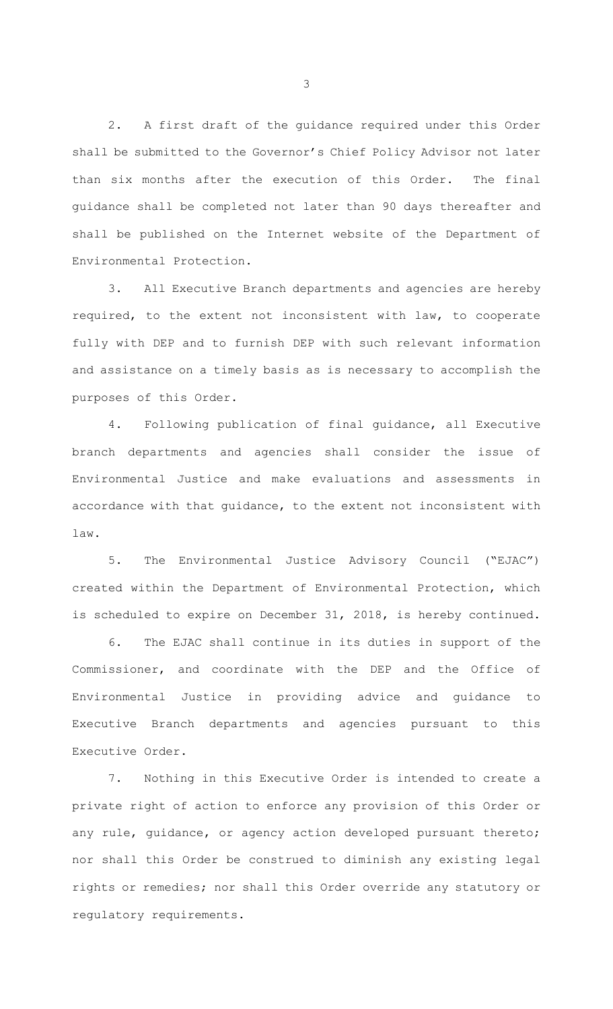2. A first draft of the guidance required under this Order shall be submitted to the Governor's Chief Policy Advisor not later than six months after the execution of this Order. The final guidance shall be completed not later than 90 days thereafter and shall be published on the Internet website of the Department of Environmental Protection.

3. All Executive Branch departments and agencies are hereby required, to the extent not inconsistent with law, to cooperate fully with DEP and to furnish DEP with such relevant information and assistance on a timely basis as is necessary to accomplish the purposes of this Order.

4. Following publication of final guidance, all Executive branch departments and agencies shall consider the issue of Environmental Justice and make evaluations and assessments in accordance with that guidance, to the extent not inconsistent with law.

5. The Environmental Justice Advisory Council ("EJAC") created within the Department of Environmental Protection, which is scheduled to expire on December 31, 2018, is hereby continued.

6. The EJAC shall continue in its duties in support of the Commissioner, and coordinate with the DEP and the Office of Environmental Justice in providing advice and guidance to Executive Branch departments and agencies pursuant to this Executive Order.

7. Nothing in this Executive Order is intended to create a private right of action to enforce any provision of this Order or any rule, guidance, or agency action developed pursuant thereto; nor shall this Order be construed to diminish any existing legal rights or remedies; nor shall this Order override any statutory or regulatory requirements.

3